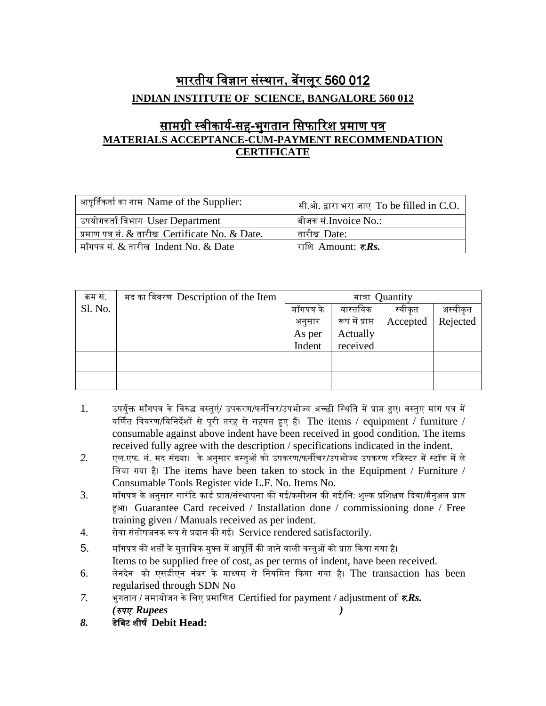## भारतीय विज्ञान संस्थान, बेंगलूर 560 012 **INDIAN INSTITUTE OF SCIENCE, BANGALORE 560 012**

## <u>सामग्री स्वीकार्य-सह-भुगतान सिफारिश प्रमाण पत्र</u> **MATERIALS ACCEPTANCE-CUM-PAYMENT RECOMMENDATION CERTIFICATE**

| आपूर्तिकर्ता का नाम Name of the Supplier:                  | सी.ओ. द्वारा भरा जाए To be filled in C.O. |
|------------------------------------------------------------|-------------------------------------------|
| उपयोगकर्ता विभाग $\,$ User Department                      | बीजक सं.Invoice No.:                      |
| प्रमाण पत्र सं. & तारीख Certificate No. & Date.            | तारीख Date:                               |
| $\mid$ माँगपत्र सं. $\&$ तारीख $\mid$ Indent No. $\&$ Date | राशि Amount: <b>ह<math>Rs</math>.</b>     |

| क्रम सं. | मद का विवरण Description of the Item | मात्रा Quantity |                 |          |          |  |
|----------|-------------------------------------|-----------------|-----------------|----------|----------|--|
| Sl. No.  |                                     | माँगपत्र के     | वास्तविक        | स्वीकृत  | अस्वीकृत |  |
|          |                                     | अनुसार          | रूप में प्राप्त | Accepted | Rejected |  |
|          |                                     | As per          | Actually        |          |          |  |
|          |                                     | Indent          | received        |          |          |  |
|          |                                     |                 |                 |          |          |  |
|          |                                     |                 |                 |          |          |  |
|          |                                     |                 |                 |          |          |  |

- 1. उपर्युक्त माँगपत्र के विरुद्ध वस्तुएं/ उपकरण/फर्नीचर/उपभोज्य अच्छी स्थिति में प्राप्त हुए। वस्तुएं मांग पत्र में वर्णित विवरण/विनिर्देशों से पूरी तरह से सहमत हुए हैं। The items / equipment / furniture / consumable against above indent have been received in good condition. The items received fully agree with the description / specifications indicated in the indent.
- *2.* एल.एफ. नं. मद संख्या। के अनुसार िस्तुओं को उपकरण/फनीचर/उपभोज्य उपकरण रवजस्टर मेंस्टॉक मेंले वलया गया है। The items have been taken to stock in the Equipment / Furniture / Consumable Tools Register vide L.F. No. Items No*.*
- 3. माँगपत्र के अनुसार गारंटि कार्ड प्राप्त/संस्थापना की गई/कमीशन की गई/नि: शुल्क प्रशिक्षण दिया/मैनुअल प्राप्त हुआ। Guarantee Card received / Installation done / commissioning done / Free training given / Manuals received as per indent.
- 4. सेवा संतोषजनक रूप से प्रदान की गई। Service rendered satisfactorily.
- 5. माँगपत्र की शर्तों के मुताबिक मुफ्त में आपूर्ति की जाने वाली वस्तुओं को प्राप्त किया गया है। Items to be supplied free of cost, as per terms of indent, have been received.
- 6. लेनदेन को एसर्ीएन नंबर के माध्यम से वनयवमत दकया गया है। The transaction has been regularised through SDN No
- *7.* भुगतान / समायोजन के लिए प्रमाणित Certified for payment / adjustment of  $\bar{\tau}$ *Rs*. *(*रुपए *Rupees )*
- *8.* र्ेवबट शीषय **Debit Head:**